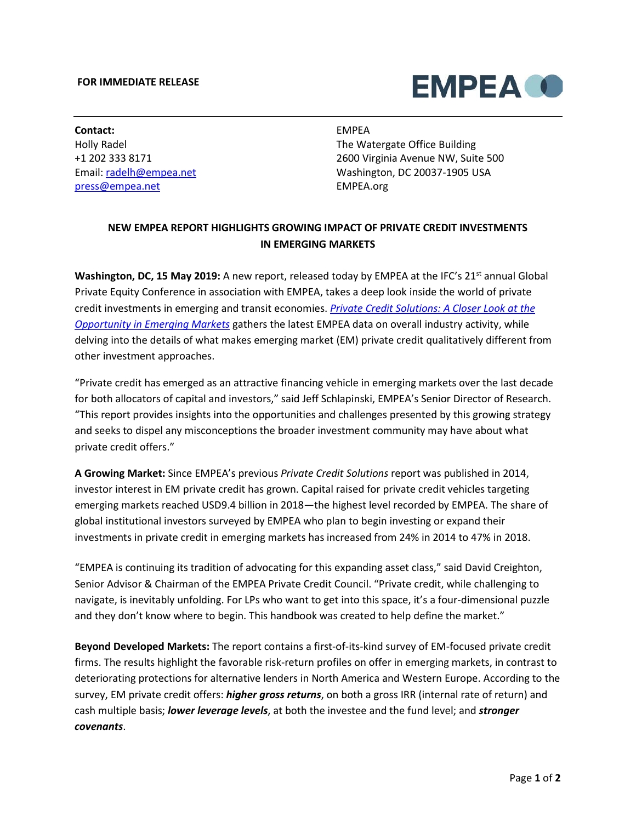# **FOR IMMEDIATE RELEASE**



**Contact:** Holly Radel +1 202 333 8171 Email: [radelh@empea.net](mailto:radelh@empea.net) [press@empea.net](mailto:press@empea.net)

# EMPEA

The Watergate Office Building 2600 Virginia Avenue NW, Suite 500 Washington, DC 20037-1905 USA EMPEA.org

# **NEW EMPEA REPORT HIGHLIGHTS GROWING IMPACT OF PRIVATE CREDIT INVESTMENTS IN EMERGING MARKETS**

**Washington, DC, 15 May 2019:** A new report, released today by EMPEA at the IFC's 21<sup>st</sup> annual Global Private Equity Conference in association with EMPEA, takes a deep look inside the world of private credit investments in emerging and transit economies. *[Private Credit Solutions: A Closer Look at the](http://go.empea.org/l/50512/2019-05-03/bvzzt6)  [Opportunity in Emerging Markets](http://go.empea.org/l/50512/2019-05-03/bvzzt6)* gathers the latest EMPEA data on overall industry activity, while delving into the details of what makes emerging market (EM) private credit qualitatively different from other investment approaches.

"Private credit has emerged as an attractive financing vehicle in emerging markets over the last decade for both allocators of capital and investors," said Jeff Schlapinski, EMPEA's Senior Director of Research. "This report provides insights into the opportunities and challenges presented by this growing strategy and seeks to dispel any misconceptions the broader investment community may have about what private credit offers."

**A Growing Market:** Since EMPEA's previous *Private Credit Solutions* report was published in 2014, investor interest in EM private credit has grown. Capital raised for private credit vehicles targeting emerging markets reached USD9.4 billion in 2018—the highest level recorded by EMPEA. The share of global institutional investors surveyed by EMPEA who plan to begin investing or expand their investments in private credit in emerging markets has increased from 24% in 2014 to 47% in 2018.

"EMPEA is continuing its tradition of advocating for this expanding asset class," said David Creighton, Senior Advisor & Chairman of the EMPEA Private Credit Council. "Private credit, while challenging to navigate, is inevitably unfolding. For LPs who want to get into this space, it's a four-dimensional puzzle and they don't know where to begin. This handbook was created to help define the market."

**Beyond Developed Markets:** The report contains a first-of-its-kind survey of EM-focused private credit firms. The results highlight the favorable risk-return profiles on offer in emerging markets, in contrast to deteriorating protections for alternative lenders in North America and Western Europe. According to the survey, EM private credit offers: *higher gross returns*, on both a gross IRR (internal rate of return) and cash multiple basis; *lower leverage levels*, at both the investee and the fund level; and *stronger covenants*.